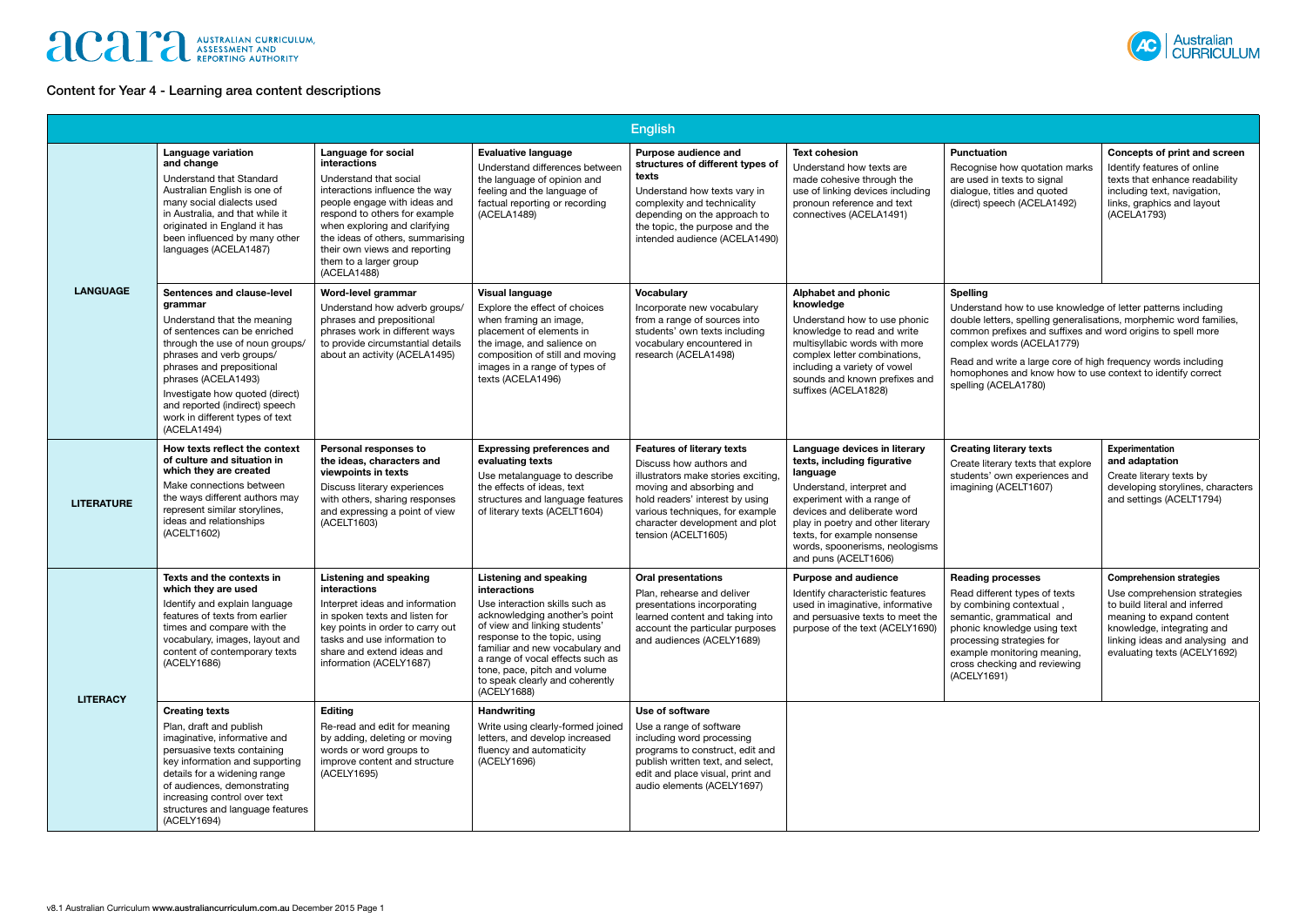# **ACAPE AUSTRALIAN CURRICULUM,**

## Content for Year 4 - Learning area content descriptions

|                   |                                                                                                                                                                                                                                                                                                                                                |                                                                                                                                                                                                                                                                                                                        |                                                                                                                                                                                                                                                                                                                                            | <b>English</b>                                                                                                                                                                                                                                                 |                                                                                                                                                                                                                                                                                                 |                                                                                                                                                                                                                                                                                                                                                                                                          |                                                                                                                                                                                                                                |
|-------------------|------------------------------------------------------------------------------------------------------------------------------------------------------------------------------------------------------------------------------------------------------------------------------------------------------------------------------------------------|------------------------------------------------------------------------------------------------------------------------------------------------------------------------------------------------------------------------------------------------------------------------------------------------------------------------|--------------------------------------------------------------------------------------------------------------------------------------------------------------------------------------------------------------------------------------------------------------------------------------------------------------------------------------------|----------------------------------------------------------------------------------------------------------------------------------------------------------------------------------------------------------------------------------------------------------------|-------------------------------------------------------------------------------------------------------------------------------------------------------------------------------------------------------------------------------------------------------------------------------------------------|----------------------------------------------------------------------------------------------------------------------------------------------------------------------------------------------------------------------------------------------------------------------------------------------------------------------------------------------------------------------------------------------------------|--------------------------------------------------------------------------------------------------------------------------------------------------------------------------------------------------------------------------------|
| <b>LANGUAGE</b>   | <b>Language variation</b><br>and change<br>Understand that Standard<br>Australian English is one of<br>many social dialects used<br>in Australia, and that while it<br>originated in England it has<br>been influenced by many other<br>languages (ACELA1487)                                                                                  | <b>Language for social</b><br>interactions<br>Understand that social<br>interactions influence the way<br>people engage with ideas and<br>respond to others for example<br>when exploring and clarifying<br>the ideas of others, summarising<br>their own views and reporting<br>them to a larger group<br>(ACELA1488) | <b>Evaluative language</b><br>Understand differences betweer<br>the language of opinion and<br>feeling and the language of<br>factual reporting or recording<br>(ACELA1489)                                                                                                                                                                | Purpose audience and<br>structures of different types of<br>texts<br>Understand how texts vary in<br>complexity and technicality<br>depending on the approach to<br>the topic, the purpose and the<br>intended audience (ACELA1490)                            | <b>Text cohesion</b><br>Understand how texts are<br>made cohesive through the<br>use of linking devices including<br>pronoun reference and text<br>connectives (ACELA1491)                                                                                                                      | <b>Punctuation</b><br>Recognise how quotation marks<br>are used in texts to signal<br>dialogue, titles and quoted<br>(direct) speech (ACELA1492)                                                                                                                                                                                                                                                         | Concepts of print and screen<br>Identify features of online<br>texts that enhance readability<br>including text, navigation,<br>links, graphics and layout<br>(ACELA1793)                                                      |
|                   | Sentences and clause-level<br>grammar<br>Understand that the meaning<br>of sentences can be enriched<br>through the use of noun groups/<br>phrases and verb groups/<br>phrases and prepositional<br>phrases (ACELA1493)<br>Investigate how quoted (direct)<br>and reported (indirect) speech<br>work in different types of text<br>(ACELA1494) | Word-level grammar<br>Understand how adverb groups/<br>phrases and prepositional<br>phrases work in different ways<br>to provide circumstantial details<br>about an activity (ACELA1495)                                                                                                                               | <b>Visual language</b><br>Explore the effect of choices<br>when framing an image,<br>placement of elements in<br>the image, and salience on<br>composition of still and moving<br>images in a range of types of<br>texts (ACELA1496)                                                                                                       | <b>Vocabulary</b><br>Incorporate new vocabulary<br>from a range of sources into<br>students' own texts including<br>vocabulary encountered in<br>research (ACELA1498)                                                                                          | Alphabet and phonic<br>knowledge<br>Understand how to use phonic<br>knowledge to read and write<br>multisyllabic words with more<br>complex letter combinations,<br>including a variety of vowel<br>sounds and known prefixes and<br>suffixes (ACELA1828)                                       | <b>Spelling</b><br>Understand how to use knowledge of letter patterns including<br>double letters, spelling generalisations, morphemic word families,<br>common prefixes and suffixes and word origins to spell more<br>complex words (ACELA1779)<br>Read and write a large core of high frequency words including<br>homophones and know how to use context to identify correct<br>spelling (ACELA1780) |                                                                                                                                                                                                                                |
| <b>LITERATURE</b> | How texts reflect the context<br>of culture and situation in<br>which they are created<br>Make connections between<br>the ways different authors may<br>represent similar storylines,<br>ideas and relationships<br>(ACELT1602)                                                                                                                | Personal responses to<br>the ideas, characters and<br>viewpoints in texts<br>Discuss literary experiences<br>with others, sharing responses<br>and expressing a point of view<br>(ACELT1603)                                                                                                                           | <b>Expressing preferences and</b><br>evaluating texts<br>Use metalanguage to describe<br>the effects of ideas, text<br>structures and language features<br>of literary texts (ACELT1604)                                                                                                                                                   | <b>Features of literary texts</b><br>Discuss how authors and<br>illustrators make stories exciting,<br>moving and absorbing and<br>hold readers' interest by using<br>various techniques, for example<br>character development and plot<br>tension (ACELT1605) | Language devices in literary<br>texts, including figurative<br>language<br>Understand, interpret and<br>experiment with a range of<br>devices and deliberate word<br>play in poetry and other literary<br>texts, for example nonsense<br>words, spoonerisms, neologisms<br>and puns (ACELT1606) | <b>Creating literary texts</b><br>Create literary texts that explore<br>students' own experiences and<br>imagining (ACELT1607)                                                                                                                                                                                                                                                                           | Experimentation<br>and adaptation<br>Create literary texts by<br>developing storylines, characters<br>and settings (ACELT1794)                                                                                                 |
| <b>LITERACY</b>   | Texts and the contexts in<br>which they are used<br>Identify and explain language<br>features of texts from earlier<br>times and compare with the<br>vocabulary, images, layout and<br>content of contemporary texts<br>(ACELY1686)                                                                                                            | <b>Listening and speaking</b><br><b>interactions</b><br>Interpret ideas and information<br>in spoken texts and listen for<br>key points in order to carry out<br>tasks and use information to<br>share and extend ideas and<br>information (ACELY1687)                                                                 | Listening and speaking<br><b>interactions</b><br>Use interaction skills such as<br>acknowledging another's point<br>of view and linking students'<br>response to the topic, using<br>familiar and new vocabulary and<br>a range of vocal effects such as<br>tone, pace, pitch and volume<br>to speak clearly and coherently<br>(ACELY1688) | <b>Oral presentations</b><br>Plan, rehearse and deliver<br>presentations incorporating<br>learned content and taking into<br>account the particular purposes<br>and audiences (ACELY1689)                                                                      | <b>Purpose and audience</b><br>Identify characteristic features<br>used in imaginative, informative<br>and persuasive texts to meet the<br>purpose of the text (ACELY1690)                                                                                                                      | <b>Reading processes</b><br>Read different types of texts<br>by combining contextual<br>semantic, grammatical and<br>phonic knowledge using text<br>processing strategies for<br>example monitoring meaning,<br>cross checking and reviewing<br>(ACELY1691)                                                                                                                                              | <b>Comprehension strategies</b><br>Use comprehension strategies<br>to build literal and inferred<br>meaning to expand content<br>knowledge, integrating and<br>linking ideas and analysing and<br>evaluating texts (ACELY1692) |
|                   | <b>Creating texts</b><br>Plan, draft and publish<br>imaginative, informative and<br>persuasive texts containing<br>key information and supporting<br>details for a widening range<br>of audiences, demonstrating<br>increasing control over text<br>structures and language features<br>(ACELY1694)                                            | <b>Editing</b><br>Re-read and edit for meaning<br>by adding, deleting or moving<br>words or word groups to<br>improve content and structure<br>(ACELY1695)                                                                                                                                                             | Handwriting<br>Write using clearly-formed joined<br>letters, and develop increased<br>fluency and automaticity<br>(ACELY1696)                                                                                                                                                                                                              | Use of software<br>Use a range of software<br>including word processing<br>programs to construct, edit and<br>publish written text, and select,<br>edit and place visual, print and<br>audio elements (ACELY1697)                                              |                                                                                                                                                                                                                                                                                                 |                                                                                                                                                                                                                                                                                                                                                                                                          |                                                                                                                                                                                                                                |

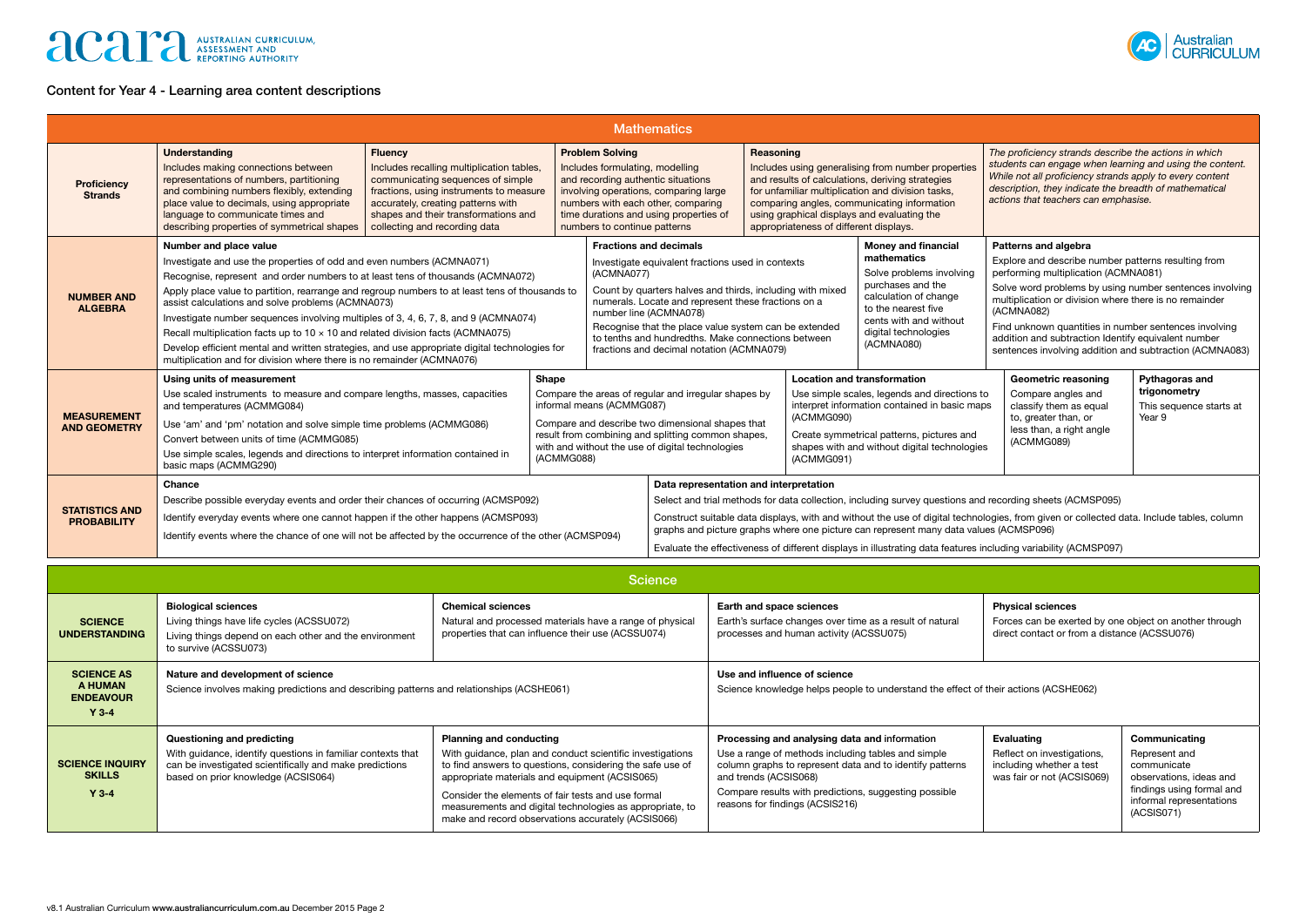## **ACAP** AUSTRALIAN CURRICULUM,

### Content for Year 4 - Learning area content descriptions



| <b>Mathematics</b>                          |                                                                                                                                                                                                                                                                                                                                                                                                                                                                                                                                                                                                                                                                                                       |  |  |                                                                                                                                                                                                                                                                                                                                                                                                                                                                                                                                                                                                                                                                 |                                                                                                                                                                                                                                                                                                                                                                                                                                                                                                                                                    |  |                                                                                                                                                                                                                                                                                 |  |                                                                                                                                                                                                                                                                                                                                                                                                                                   |  |
|---------------------------------------------|-------------------------------------------------------------------------------------------------------------------------------------------------------------------------------------------------------------------------------------------------------------------------------------------------------------------------------------------------------------------------------------------------------------------------------------------------------------------------------------------------------------------------------------------------------------------------------------------------------------------------------------------------------------------------------------------------------|--|--|-----------------------------------------------------------------------------------------------------------------------------------------------------------------------------------------------------------------------------------------------------------------------------------------------------------------------------------------------------------------------------------------------------------------------------------------------------------------------------------------------------------------------------------------------------------------------------------------------------------------------------------------------------------------|----------------------------------------------------------------------------------------------------------------------------------------------------------------------------------------------------------------------------------------------------------------------------------------------------------------------------------------------------------------------------------------------------------------------------------------------------------------------------------------------------------------------------------------------------|--|---------------------------------------------------------------------------------------------------------------------------------------------------------------------------------------------------------------------------------------------------------------------------------|--|-----------------------------------------------------------------------------------------------------------------------------------------------------------------------------------------------------------------------------------------------------------------------------------------------------------------------------------------------------------------------------------------------------------------------------------|--|
| <b>Proficiency</b><br><b>Strands</b>        | <b>Understanding</b><br><b>Fluency</b><br>Includes making connections between<br>Includes recalling multiplication tables,<br>representations of numbers, partitioning<br>communicating sequences of simple<br>and combining numbers flexibly, extending<br>fractions, using instruments to measure<br>place value to decimals, using appropriate<br>accurately, creating patterns with<br>shapes and their transformations and<br>language to communicate times and<br>describing properties of symmetrical shapes<br>collecting and recording data                                                                                                                                                  |  |  | <b>Problem Solving</b>                                                                                                                                                                                                                                                                                                                                                                                                                                                                                                                                                                                                                                          | Reasoning<br>Includes using generalising from number properties<br>Includes formulating, modelling<br>and recording authentic situations<br>and results of calculations, deriving strategies<br>for unfamiliar multiplication and division tasks,<br>involving operations, comparing large<br>comparing angles, communicating information<br>numbers with each other, comparing<br>time durations and using properties of<br>using graphical displays and evaluating the<br>appropriateness of different displays.<br>numbers to continue patterns |  | The proficiency strands describe the actions in which<br>students can engage when learning and using the content.<br>While not all proficiency strands apply to every content<br>description, they indicate the breadth of mathematical<br>actions that teachers can emphasise. |  |                                                                                                                                                                                                                                                                                                                                                                                                                                   |  |
| <b>NUMBER AND</b><br><b>ALGEBRA</b>         | Number and place value<br>Investigate and use the properties of odd and even numbers (ACMNA071)<br>Recognise, represent and order numbers to at least tens of thousands (ACMNA072)<br>Apply place value to partition, rearrange and regroup numbers to at least tens of thousands to<br>assist calculations and solve problems (ACMNA073)<br>Investigate number sequences involving multiples of 3, 4, 6, 7, 8, and 9 (ACMNA074)<br>Recall multiplication facts up to $10 \times 10$ and related division facts (ACMNA075)<br>Develop efficient mental and written strategies, and use appropriate digital technologies for<br>multiplication and for division where there is no remainder (ACMNA076) |  |  | (ACMNA077)                                                                                                                                                                                                                                                                                                                                                                                                                                                                                                                                                                                                                                                      | <b>Fractions and decimals</b><br>Investigate equivalent fractions used in contexts<br>Count by quarters halves and thirds, including with mixed<br>numerals. Locate and represent these fractions on a<br>number line (ACMNA078)<br>Recognise that the place value system can be extended<br>to tenths and hundredths. Make connections between<br>fractions and decimal notation (ACMNA079)                                                                                                                                                       |  | <b>Money and financial</b><br>mathematics<br>Solve problems involving<br>purchases and the<br>calculation of change<br>to the nearest five<br>cents with and without<br>digital technologies<br>(ACMNA080)                                                                      |  | Patterns and algebra<br>Explore and describe number patterns resulting from<br>performing multiplication (ACMNA081)<br>Solve word problems by using number sentences involving<br>multiplication or division where there is no remainder<br>(ACMNA082)<br>Find unknown quantities in number sentences involving<br>addition and subtraction Identify equivalent number<br>sentences involving addition and subtraction (ACMNA083) |  |
| <b>MEASUREMENT</b><br><b>AND GEOMETRY</b>   | Shape<br>Using units of measurement<br>Use scaled instruments to measure and compare lengths, masses, capacities<br>and temperatures (ACMMG084)<br>Use 'am' and 'pm' notation and solve simple time problems (ACMMG086)<br>Convert between units of time (ACMMG085)<br>Use simple scales, legends and directions to interpret information contained in<br>(ACMMG088)<br>basic maps (ACMMG290)                                                                                                                                                                                                                                                                                                         |  |  | <b>Location and transformation</b><br><b>Geometric reasoning</b><br>Compare the areas of regular and irregular shapes by<br>Use simple scales, legends and directions to<br>Compare angles and<br>informal means (ACMMG087)<br>interpret information contained in basic maps<br>classify them as equal<br>(ACMMG090)<br>to, greater than, or<br>Compare and describe two dimensional shapes that<br>less than, a right angle<br>result from combining and splitting common shapes,<br>Create symmetrical patterns, pictures and<br>(ACMMG089)<br>with and without the use of digital technologies<br>shapes with and without digital technologies<br>(ACMMG091) |                                                                                                                                                                                                                                                                                                                                                                                                                                                                                                                                                    |  | Pythagoras and<br>trigonometry<br>This sequence starts at<br>Year 9                                                                                                                                                                                                             |  |                                                                                                                                                                                                                                                                                                                                                                                                                                   |  |
| <b>STATISTICS AND</b><br><b>PROBABILITY</b> | Chance<br>Describe possible everyday events and order their chances of occurring (ACMSP092)<br>Identify everyday events where one cannot happen if the other happens (ACMSP093)<br>Identify events where the chance of one will not be affected by the occurrence of the other (ACMSP094)                                                                                                                                                                                                                                                                                                                                                                                                             |  |  |                                                                                                                                                                                                                                                                                                                                                                                                                                                                                                                                                                                                                                                                 | Data representation and interpretation<br>Select and trial methods for data collection, including survey questions and recording sheets (ACMSP095)<br>Construct suitable data displays, with and without the use of digital technologies, from given or collected data. Include tables, column<br>graphs and picture graphs where one picture can represent many data values (ACMSP096)<br>Evaluate the effectiveness of different displays in illustrating data features including variability (ACMSP097)                                         |  |                                                                                                                                                                                                                                                                                 |  |                                                                                                                                                                                                                                                                                                                                                                                                                                   |  |

| <b>Science</b>                                              |                                                                                                                                                                                                                                                                                                                                                                                                                                                                                                                                                                                   |  |                                                                                                                                                                                                                                                                                      |                                                                                                           |                                                                                                                                                 |  |  |  |  |
|-------------------------------------------------------------|-----------------------------------------------------------------------------------------------------------------------------------------------------------------------------------------------------------------------------------------------------------------------------------------------------------------------------------------------------------------------------------------------------------------------------------------------------------------------------------------------------------------------------------------------------------------------------------|--|--------------------------------------------------------------------------------------------------------------------------------------------------------------------------------------------------------------------------------------------------------------------------------------|-----------------------------------------------------------------------------------------------------------|-------------------------------------------------------------------------------------------------------------------------------------------------|--|--|--|--|
| <b>SCIENCE</b><br><b>UNDERSTANDING</b>                      | <b>Biological sciences</b><br><b>Chemical sciences</b><br>Living things have life cycles (ACSSU072)<br>Natural and processed materials have a range of physical<br>properties that can influence their use (ACSSU074)<br>Living things depend on each other and the environment<br>to survive (ACSSU073)                                                                                                                                                                                                                                                                          |  | <b>Physical sciences</b><br>Earth and space sciences<br>Earth's surface changes over time as a result of natural<br>Forces can be exerted by one object on another through<br>processes and human activity (ACSSU075)<br>direct contact or from a distance (ACSSU076)                |                                                                                                           |                                                                                                                                                 |  |  |  |  |
| <b>SCIENCE AS</b><br>A HUMAN<br><b>ENDEAVOUR</b><br>$Y$ 3-4 | Nature and development of science<br>Science involves making predictions and describing patterns and relationships (ACSHE061)                                                                                                                                                                                                                                                                                                                                                                                                                                                     |  | Use and influence of science<br>Science knowledge helps people to understand the effect of their actions (ACSHE062)                                                                                                                                                                  |                                                                                                           |                                                                                                                                                 |  |  |  |  |
| <b>SCIENCE INQUIRY</b><br><b>SKILLS</b><br>$Y$ 3-4          | <b>Planning and conducting</b><br>Questioning and predicting<br>With guidance, identify questions in familiar contexts that<br>With guidance, plan and conduct scientific investigations<br>can be investigated scientifically and make predictions<br>to find answers to questions, considering the safe use of<br>based on prior knowledge (ACSIS064)<br>appropriate materials and equipment (ACSIS065)<br>Consider the elements of fair tests and use formal<br>measurements and digital technologies as appropriate, to<br>make and record observations accurately (ACSIS066) |  | Processing and analysing data and information<br>Use a range of methods including tables and simple<br>column graphs to represent data and to identify patterns<br>and trends (ACSIS068)<br>Compare results with predictions, suggesting possible<br>reasons for findings (ACSIS216) | <b>Evaluating</b><br>Reflect on investigations,<br>including whether a test<br>was fair or not (ACSIS069) | Communicating<br>Represent and<br>communicate<br>observations, ideas and<br>findings using formal and<br>informal representations<br>(ACSIS071) |  |  |  |  |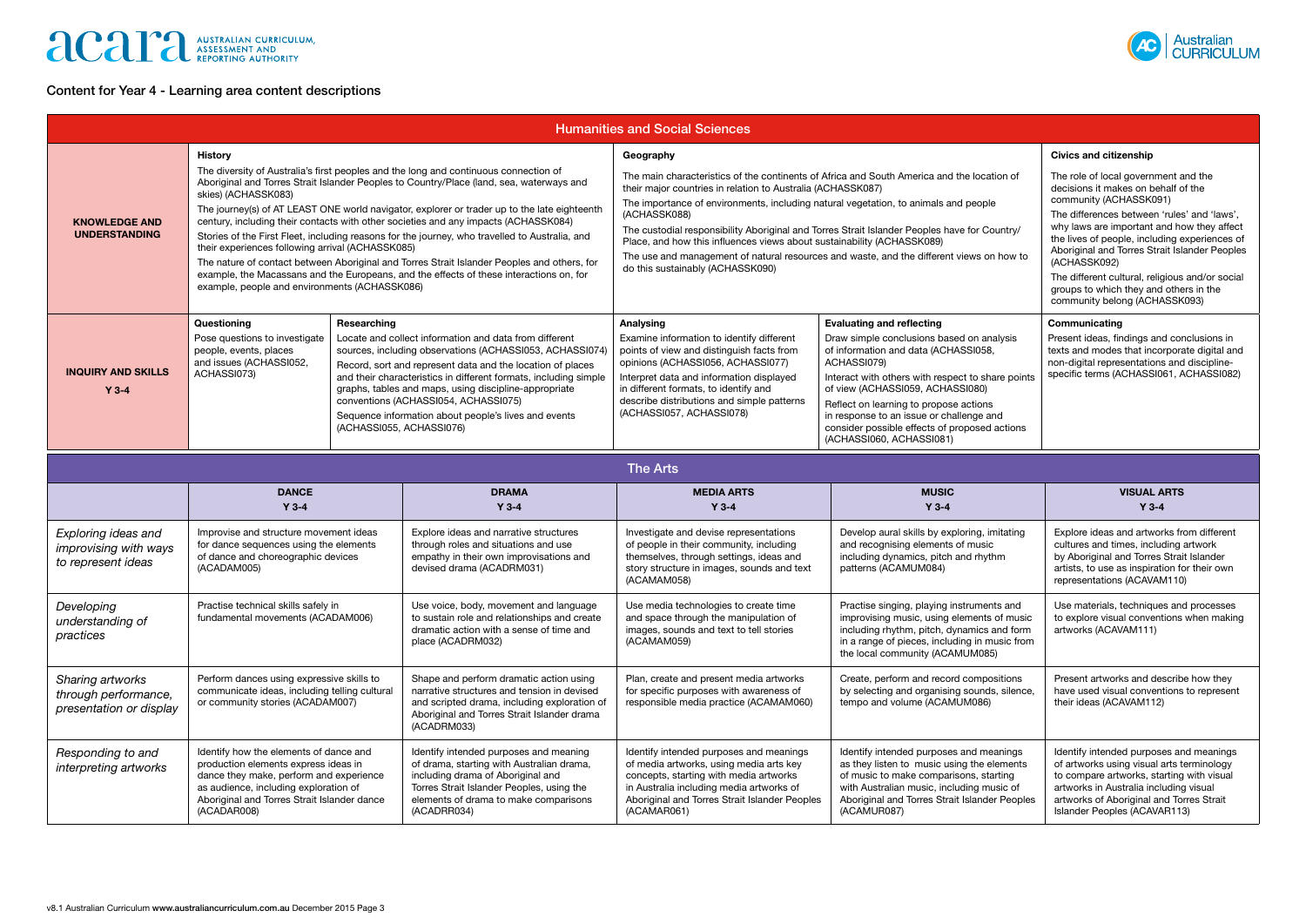# **ACAPE AUSTRALIAN CURRICULUM,**

## Content for Year 4 - Learning area content descriptions



| <b>Humanities and Social Sciences</b>                              |                                                                                                                                                                                                                                                                                                                                                                                                                                                                                                                                                                                                                                                                                                                                                                                                                   |  |                                                                                                                                                                                                                                                                                                                                                                                                                                                                                                                                                                                         |                                                                                                                                                                                                                                                                                                                                                                                                                                                                                     |                                                                                                                                                                                                       |                                                                                                                                                                                                               |  |  |  |
|--------------------------------------------------------------------|-------------------------------------------------------------------------------------------------------------------------------------------------------------------------------------------------------------------------------------------------------------------------------------------------------------------------------------------------------------------------------------------------------------------------------------------------------------------------------------------------------------------------------------------------------------------------------------------------------------------------------------------------------------------------------------------------------------------------------------------------------------------------------------------------------------------|--|-----------------------------------------------------------------------------------------------------------------------------------------------------------------------------------------------------------------------------------------------------------------------------------------------------------------------------------------------------------------------------------------------------------------------------------------------------------------------------------------------------------------------------------------------------------------------------------------|-------------------------------------------------------------------------------------------------------------------------------------------------------------------------------------------------------------------------------------------------------------------------------------------------------------------------------------------------------------------------------------------------------------------------------------------------------------------------------------|-------------------------------------------------------------------------------------------------------------------------------------------------------------------------------------------------------|---------------------------------------------------------------------------------------------------------------------------------------------------------------------------------------------------------------|--|--|--|
| <b>KNOWLEDGE AND</b><br><b>UNDERSTANDING</b>                       | <b>History</b><br>The diversity of Australia's first peoples and the long and continuous connection of<br>Aboriginal and Torres Strait Islander Peoples to Country/Place (land, sea, waterways and<br>skies) (ACHASSK083)<br>The journey(s) of AT LEAST ONE world navigator, explorer or trader up to the late eighteenth<br>century, including their contacts with other societies and any impacts (ACHASSK084)<br>Stories of the First Fleet, including reasons for the journey, who travelled to Australia, and<br>their experiences following arrival (ACHASSK085)<br>The nature of contact between Aboriginal and Torres Strait Islander Peoples and others, for<br>example, the Macassans and the Europeans, and the effects of these interactions on, for<br>example, people and environments (ACHASSK086) |  | Geography<br>The main characteristics of the continents of Africa and South America and the location of<br>their major countries in relation to Australia (ACHASSK087)<br>The importance of environments, including natural vegetation, to animals and people<br>(ACHASSK088)<br>The custodial responsibility Aboriginal and Torres Strait Islander Peoples have for Country/<br>Place, and how this influences views about sustainability (ACHASSK089)<br>The use and management of natural resources and waste, and the different views on how to<br>do this sustainably (ACHASSK090) | <b>Civics and citizenship</b><br>The role of local government and the<br>decisions it makes on behalf of the<br>community (ACHASSK091)<br>The differences between 'rules' and 'laws',<br>why laws are important and how they affect<br>the lives of people, including experiences of<br>Aboriginal and Torres Strait Islander Peoples<br>(ACHASSK092)<br>The different cultural, religious and/or social<br>groups to which they and others in the<br>community belong (ACHASSK093) |                                                                                                                                                                                                       |                                                                                                                                                                                                               |  |  |  |
| <b>INQUIRY AND SKILLS</b><br>$Y$ 3-4                               | Questioning<br>Researching<br>Pose questions to investigate<br>Locate and collect information and data from different<br>people, events, places<br>sources, including observations (ACHASSI053, ACHASSI074)<br>and issues (ACHASSI052,<br>Record, sort and represent data and the location of places<br>ACHASSI073)<br>and their characteristics in different formats, including simple<br>graphs, tables and maps, using discipline-appropriate<br>conventions (ACHASSI054, ACHASSI075)<br>Sequence information about people's lives and events<br>(ACHASSI055, ACHASSI076)                                                                                                                                                                                                                                      |  | Analysing<br>Examine information to identify different<br>points of view and distinguish facts from<br>opinions (ACHASSI056, ACHASSI077)<br>Interpret data and information displayed<br>in different formats, to identify and<br>describe distributions and simple patterns<br>(ACHASSI057, ACHASSI078)                                                                                                                                                                                                                                                                                 | <b>Evaluating and reflecting</b><br>Draw simple conclusions based on analysis<br>of information and data (ACHASSI058,<br>ACHASSI079)<br>Interact with others with respect to share points<br>of view (ACHASSI059, ACHASSI080)<br>Reflect on learning to propose actions<br>in response to an issue or challenge and<br>consider possible effects of proposed actions<br>(ACHASSI060, ACHASSI081)                                                                                    | Communicating<br>Present ideas, findings and conclusions in<br>texts and modes that incorporate digital and<br>non-digital representations and discipline-<br>specific terms (ACHASSI061, ACHASSI082) |                                                                                                                                                                                                               |  |  |  |
| <b>The Arts</b>                                                    |                                                                                                                                                                                                                                                                                                                                                                                                                                                                                                                                                                                                                                                                                                                                                                                                                   |  |                                                                                                                                                                                                                                                                                                                                                                                                                                                                                                                                                                                         |                                                                                                                                                                                                                                                                                                                                                                                                                                                                                     |                                                                                                                                                                                                       |                                                                                                                                                                                                               |  |  |  |
|                                                                    | <b>DANCE</b><br><b>DRAMA</b><br>$Y$ 3-4<br>$Y$ 3-4                                                                                                                                                                                                                                                                                                                                                                                                                                                                                                                                                                                                                                                                                                                                                                |  |                                                                                                                                                                                                                                                                                                                                                                                                                                                                                                                                                                                         | <b>MEDIA ARTS</b><br>$Y$ 3-4                                                                                                                                                                                                                                                                                                                                                                                                                                                        | <b>MUSIC</b><br>$Y$ 3-4                                                                                                                                                                               | <b>VISUAL ARTS</b><br>$Y$ 3-4                                                                                                                                                                                 |  |  |  |
| Exploring ideas and<br>improvising with ways<br>to represent ideas | Improvise and structure movement ideas<br>Explore ideas and narrative structures<br>for dance sequences using the elements<br>through roles and situations and use<br>of dance and choreographic devices<br>(ACADAM005)<br>devised drama (ACADRM031)                                                                                                                                                                                                                                                                                                                                                                                                                                                                                                                                                              |  | empathy in their own improvisations and                                                                                                                                                                                                                                                                                                                                                                                                                                                                                                                                                 | Investigate and devise representations<br>of people in their community, including<br>themselves, through settings, ideas and<br>story structure in images, sounds and text<br>(ACAMAM058)                                                                                                                                                                                                                                                                                           | Develop aural skills by exploring, imitating<br>and recognising elements of music<br>including dynamics, pitch and rhythm<br>patterns (ACAMUM084)                                                     | Explore ideas and artworks from different<br>cultures and times, including artwork<br>by Aboriginal and Torres Strait Islander<br>artists, to use as inspiration for their own<br>representations (ACAVAM110) |  |  |  |

| 115M                                                                |                                                                                                                                                                                                                                  |                                                                                                                                                                                                                               |                                                                                                                                                                                                                                          |                                                                                                                                                                                                                                              |                                                                                                                                                                                                                                                         |  |  |  |  |
|---------------------------------------------------------------------|----------------------------------------------------------------------------------------------------------------------------------------------------------------------------------------------------------------------------------|-------------------------------------------------------------------------------------------------------------------------------------------------------------------------------------------------------------------------------|------------------------------------------------------------------------------------------------------------------------------------------------------------------------------------------------------------------------------------------|----------------------------------------------------------------------------------------------------------------------------------------------------------------------------------------------------------------------------------------------|---------------------------------------------------------------------------------------------------------------------------------------------------------------------------------------------------------------------------------------------------------|--|--|--|--|
|                                                                     | <b>DANCE</b><br>$Y$ 3-4                                                                                                                                                                                                          | <b>DRAMA</b><br>$Y$ 3-4                                                                                                                                                                                                       | <b>MEDIA ARTS</b><br>$Y$ 3-4                                                                                                                                                                                                             | <b>MUSIC</b><br>$Y$ 3-4                                                                                                                                                                                                                      | <b>VISUAL ARTS</b><br>$Y$ 3-4                                                                                                                                                                                                                           |  |  |  |  |
| Exploring ideas and<br>improvising with ways<br>to represent ideas  | Improvise and structure movement ideas<br>for dance sequences using the elements<br>of dance and choreographic devices<br>(ACADAM005)                                                                                            | Explore ideas and narrative structures<br>through roles and situations and use<br>empathy in their own improvisations and<br>devised drama (ACADRM031)                                                                        | Investigate and devise representations<br>of people in their community, including<br>themselves, through settings, ideas and<br>story structure in images, sounds and text<br>(ACAMAM058)                                                | Develop aural skills by exploring, imitating<br>and recognising elements of music<br>including dynamics, pitch and rhythm<br>patterns (ACAMUM084)                                                                                            | Explore ideas and artworks from different<br>cultures and times, including artwork<br>by Aboriginal and Torres Strait Islander<br>artists, to use as inspiration for their own<br>representations (ACAVAM110)                                           |  |  |  |  |
| Developing<br>understanding of<br>practices                         | Practise technical skills safely in<br>fundamental movements (ACADAM006)                                                                                                                                                         | Use voice, body, movement and language<br>to sustain role and relationships and create<br>dramatic action with a sense of time and<br>place (ACADRM032)                                                                       | Use media technologies to create time<br>and space through the manipulation of<br>images, sounds and text to tell stories<br>(ACAMAM059)                                                                                                 | Practise singing, playing instruments and<br>improvising music, using elements of music<br>including rhythm, pitch, dynamics and form<br>in a range of pieces, including in music from<br>the local community (ACAMUM085)                    | Use materials, techniques and processes<br>to explore visual conventions when making<br>artworks (ACAVAM111)                                                                                                                                            |  |  |  |  |
| Sharing artworks<br>through performance,<br>presentation or display | Perform dances using expressive skills to<br>communicate ideas, including telling cultural<br>or community stories (ACADAM007)                                                                                                   | Shape and perform dramatic action using<br>narrative structures and tension in devised<br>and scripted drama, including exploration of<br>Aboriginal and Torres Strait Islander drama<br>(ACADRM033)                          | Plan, create and present media artworks<br>for specific purposes with awareness of<br>responsible media practice (ACAMAM060)                                                                                                             | Create, perform and record compositions<br>by selecting and organising sounds, silence,<br>tempo and volume (ACAMUM086)                                                                                                                      | Present artworks and describe how they<br>have used visual conventions to represent<br>their ideas (ACAVAM112)                                                                                                                                          |  |  |  |  |
| Responding to and<br>interpreting artworks                          | Identify how the elements of dance and<br>production elements express ideas in<br>dance they make, perform and experience<br>as audience, including exploration of<br>Aboriginal and Torres Strait Islander dance<br>(ACADAR008) | Identify intended purposes and meaning<br>of drama, starting with Australian drama,<br>including drama of Aboriginal and<br>Torres Strait Islander Peoples, using the<br>elements of drama to make comparisons<br>(ACADRR034) | Identify intended purposes and meanings<br>of media artworks, using media arts key<br>concepts, starting with media artworks<br>in Australia including media artworks of<br>Aboriginal and Torres Strait Islander Peoples<br>(ACAMAR061) | Identify intended purposes and meanings<br>as they listen to music using the elements<br>of music to make comparisons, starting<br>with Australian music, including music of<br>Aboriginal and Torres Strait Islander Peoples<br>(ACAMUR087) | Identify intended purposes and meanings<br>of artworks using visual arts terminology<br>to compare artworks, starting with visual<br>artworks in Australia including visual<br>artworks of Aboriginal and Torres Strait<br>Islander Peoples (ACAVAR113) |  |  |  |  |